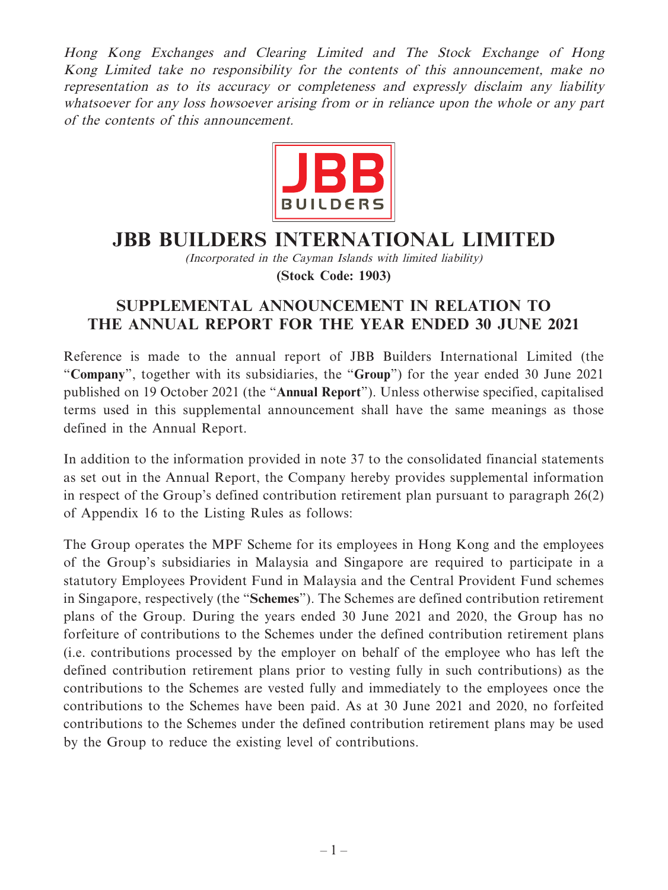Hong Kong Exchanges and Clearing Limited and The Stock Exchange of Hong Kong Limited take no responsibility for the contents of this announcement, make no representation as to its accuracy or completeness and expressly disclaim any liability whatsoever for any loss howsoever arising from or in reliance upon the whole or any part of the contents of this announcement.



## **JBB BUILDERS INTERNATIONAL LIMITED**

(Incorporated in the Cayman Islands with limited liability) **(Stock Code: 1903)**

## **SUPPLEMENTAL ANNOUNCEMENT IN RELATION TO THE ANNUAL REPORT FOR THE YEAR ENDED 30 JUNE 2021**

Reference is made to the annual report of JBB Builders International Limited (the "**Company**", together with its subsidiaries, the "**Group**") for the year ended 30 June 2021 published on 19 October 2021 (the "**Annual Report**"). Unless otherwise specified, capitalised terms used in this supplemental announcement shall have the same meanings as those defined in the Annual Report.

In addition to the information provided in note 37 to the consolidated financial statements as set out in the Annual Report, the Company hereby provides supplemental information in respect of the Group's defined contribution retirement plan pursuant to paragraph 26(2) of Appendix 16 to the Listing Rules as follows:

The Group operates the MPF Scheme for its employees in Hong Kong and the employees of the Group's subsidiaries in Malaysia and Singapore are required to participate in a statutory Employees Provident Fund in Malaysia and the Central Provident Fund schemes in Singapore, respectively (the "**Schemes**"). The Schemes are defined contribution retirement plans of the Group. During the years ended 30 June 2021 and 2020, the Group has no forfeiture of contributions to the Schemes under the defined contribution retirement plans (i.e. contributions processed by the employer on behalf of the employee who has left the defined contribution retirement plans prior to vesting fully in such contributions) as the contributions to the Schemes are vested fully and immediately to the employees once the contributions to the Schemes have been paid. As at 30 June 2021 and 2020, no forfeited contributions to the Schemes under the defined contribution retirement plans may be used by the Group to reduce the existing level of contributions.